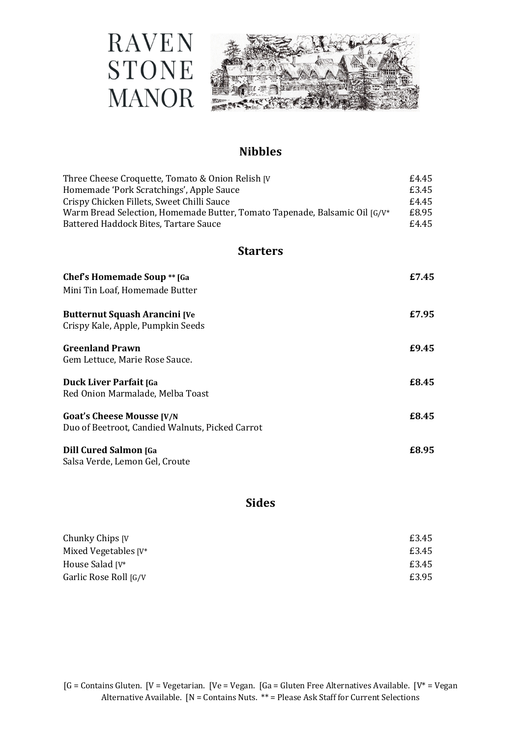

## **Nibbles**

| Three Cheese Croquette, Tomato & Onion Relish [V]                          | £4.45 |
|----------------------------------------------------------------------------|-------|
| Homemade 'Pork Scratchings', Apple Sauce                                   | £3.45 |
| Crispy Chicken Fillets, Sweet Chilli Sauce                                 | £4.45 |
| Warm Bread Selection, Homemade Butter, Tomato Tapenade, Balsamic Oil [G/V* | £8.95 |
| Battered Haddock Bites, Tartare Sauce                                      | £4.45 |
| <b>Starters</b>                                                            |       |
| <b>Chef's Homemade Soup ** [Ga</b>                                         | £7.45 |
| Mini Tin Loaf, Homemade Butter                                             |       |
| <b>Butternut Squash Arancini [Ve</b>                                       | £7.95 |
| Crispy Kale, Apple, Pumpkin Seeds                                          |       |
| <b>Greenland Prawn</b>                                                     | £9.45 |
| Gem Lettuce, Marie Rose Sauce.                                             |       |
| <b>Duck Liver Parfait [Ga</b>                                              | £8.45 |
| Red Onion Marmalade, Melba Toast                                           |       |
| <b>Goat's Cheese Mousse [V/N</b>                                           | £8.45 |
| Duo of Beetroot, Candied Walnuts, Picked Carrot                            |       |
| <b>Dill Cured Salmon [Ga</b>                                               | £8.95 |
| Salsa Verde, Lemon Gel, Croute                                             |       |

## **Sides**

| Chunky Chips [V]         | £3.45 |
|--------------------------|-------|
| Mixed Vegetables $[V^*]$ | £3.45 |
| House Salad [V*]         | £3.45 |
| Garlic Rose Roll [G/V]   | £3.95 |